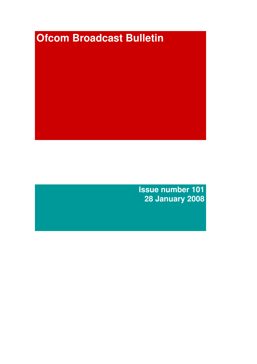# **Ofcom Broadcast Bulletin**

**Issue number 101 28 January 2008**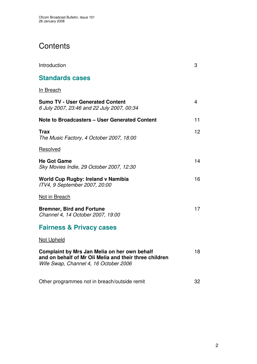# **Contents**

| Introduction                                                                                                                                    | 3  |
|-------------------------------------------------------------------------------------------------------------------------------------------------|----|
| <b>Standards cases</b>                                                                                                                          |    |
| In Breach                                                                                                                                       |    |
| <b>Sumo TV - User Generated Content</b><br>6 July 2007, 23:46 and 22 July 2007, 00:34                                                           | 4  |
| <b>Note to Broadcasters - User Generated Content</b>                                                                                            | 11 |
| <b>Trax</b><br>The Music Factory, 4 October 2007, 18:00                                                                                         | 12 |
| Resolved                                                                                                                                        |    |
| <b>He Got Game</b><br>Sky Movies Indie, 29 October 2007, 12:30                                                                                  | 14 |
| World Cup Rugby: Ireland v Namibia<br>ITV4, 9 September 2007, 20:00                                                                             | 16 |
| Not in Breach                                                                                                                                   |    |
| <b>Bremner, Bird and Fortune</b><br>Channel 4, 14 October 2007, 19:00                                                                           | 17 |
| <b>Fairness &amp; Privacy cases</b>                                                                                                             |    |
| <b>Not Upheld</b>                                                                                                                               |    |
| Complaint by Mrs Jan Melia on her own behalf<br>and on behalf of Mr Oli Melia and their three children<br>Wife Swap, Channel 4, 16 October 2006 | 18 |
| Other programmes not in breach/outside remit                                                                                                    | 32 |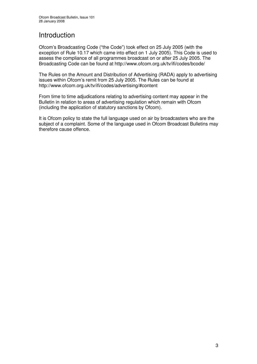# Introduction

Ofcom's Broadcasting Code ("the Code") took effect on 25 July 2005 (with the exception of Rule 10.17 which came into effect on 1 July 2005). This Code is used to assess the compliance of all programmes broadcast on or after 25 July 2005. The Broadcasting Code can be found at http://www.ofcom.org.uk/tv/ifi/codes/bcode/

The Rules on the Amount and Distribution of Advertising (RADA) apply to advertising issues within Ofcom's remit from 25 July 2005. The Rules can be found at http://www.ofcom.org.uk/tv/ifi/codes/advertising/#content

From time to time adjudications relating to advertising content may appear in the Bulletin in relation to areas of advertising regulation which remain with Ofcom (including the application of statutory sanctions by Ofcom).

It is Ofcom policy to state the full language used on air by broadcasters who are the subject of a complaint. Some of the language used in Ofcom Broadcast Bulletins may therefore cause offence.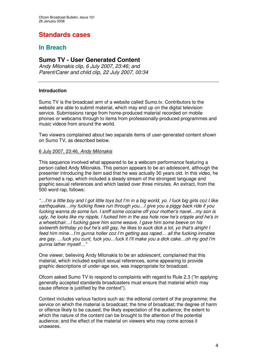# **Standards cases**

# **In Breach**

## **Sumo TV - User Generated Content**

*Andy Milonakis clip, 6 July 2007, 23:46; and Parent/Carer and child clip, 22 July 2007, 00:34*

#### **Introduction**

Sumo TV is the broadcast arm of a website called Sumo.tv. Contributors to the website are able to submit material, which may end up on the digital television service. Submissions range from home-produced material recorded on mobile phones or webcams through to items from professionally-produced programmes and music videos from around the world.

Two viewers complained about two separate items of user-generated content shown on Sumo TV, as described below.

#### 6 July 2007, 23:46, *Andy Milonakis*

This sequence involved what appeared to be a webcam performance featuring a person called Andy Milonakis. This person appears to be an adolescent, although the presenter introducing the item said that he was actually 30 years old. In this video, he performed a rap, which included a steady stream of the strongest language and graphic sexual references and which lasted over three minutes. An extract, from the 500 word rap, follows:

"...I'm a little boy and I got little toys but I'm in a big world, yo. I fuck big girls coz I like *earthquakes…my fucking flows run through you…I give you a piggy back ride if you fucking wanna do some fun. I sniff some cocaine off your mother's navel…my son is ugly, he looks like my nipple, I fucked him in the ass hole now he's cripple and he's in a wheelchair…I fucking gave him some weave, I gave him some beeve on his sixteenth birthday yo but he's still gay, he likes to suck dick a lot, yo that's alright I feed him mine…I'm gunna holler coz I'm getting ass raped… all the fucking inmates are gay. …fuck you cunt, fuck you…fuck it I'll make you a dick cake…oh my god I'm gunna lather myself…"*

One viewer, believing Andy Milonakis to be an adolescent, complained that this material, which included explicit sexual references, some appearing to provide graphic descriptions of under-age sex, was inappropriate for broadcast.

Ofcom asked Sumo TV to respond to complaints with regard to Rule 2.3 ("In applying generally accepted standards broadcasters must ensure that material which may cause offence is justified by the context")*.*

Context includes various factors such as: the editorial content of the programme; the service on which the material is broadcast; the time of broadcast; the degree of harm or offence likely to be caused; the likely expectation of the audience; the extent to which the nature of the content can be brought to the attention of the potential audience; and the effect of the material on viewers who may come across it unawares.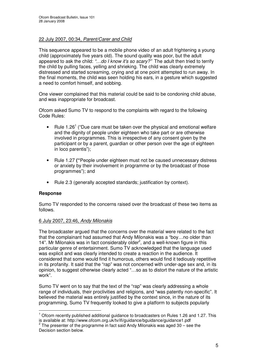#### 22 July 2007, 00:34, *Parent/Carer and Child*

This sequence appeared to be a mobile phone video of an adult frightening a young child (approximately five years old). The sound quality was poor, but the adult appeared to ask the child: *"…do I know it's so scary?"* The adult then tried to terrify the child by pulling faces, yelling and shrieking. The child was clearly extremely distressed and started screaming, crying and at one point attempted to run away. In the final moments, the child was seen holding his ears, in a gesture which suggested a need to comfort himself, and sobbing.

One viewer complained that this material could be said to be condoning child abuse, and was inappropriate for broadcast.

Ofcom asked Sumo TV to respond to the complaints with regard to the following Code Rules:

- Rule 1.26<sup>1</sup> ("Due care must be taken over the physical and emotional welfare and the dignity of people under eighteen who take part or are otherwise involved in programmes. This is irrespective of any consent given by the participant or by a parent, guardian or other person over the age of eighteen in loco parentis");
- Rule 1.27 **("**People under eighteen must not be caused unnecessary distress or anxiety by their involvement in programme or by the broadcast of those programmes"); and
- Rule 2.3 (generally accepted standards; justification by context).

#### **Response**

Sumo TV responded to the concerns raised over the broadcast of these two items as follows.

#### 6 July 2007, 23:46, *Andy Milonakis*

The broadcaster argued that the concerns over the material were related to the fact that the complainant had assumed that Andy Milonakis was a "boy…no older than 14". Mr Milonakis was in fact considerably older<sup>2</sup>, and a well-known figure in this particular genre of entertainment. Sumo TV acknowledged that the language used was explicit and was clearly intended to create a reaction in the audience. It considered that some would find it humorous, others would find it tediously repetitive in its profanity. It said that the "rap" was not concerned with under-age sex and, in its opinion, to suggest otherwise clearly acted "…so as to distort the nature of the artistic work".

Sumo TV went on to say that the text of the "rap" was clearly addressing a whole range of individuals, their proclivities and religions, and "was patently non-specific". It believed the material was entirely justified by the context since, in the nature of its programming, Sumo TV frequently looked to give a platform to subjects popularly

 $1$  Ofcom recently published additional guidance to broadcasters on Rules 1.26 and 1.27. This is available at: http://www.ofcom.org.uk/tv/ifi/guidance/bguidance/guidance1.pdf

 $^2$  The presenter of the programme in fact said Andy Milonakis was aged 30 – see the Decision section below.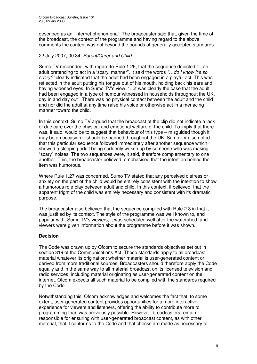described as an "internet phenomena". The broadcaster said that, given the time of the broadcast, the context of the programme and having regard to the above comments the content was not beyond the bounds of generally accepted standards.

#### 22 July 2007, 00:34, *Parent/Carer and Child*

Sumo TV responded, with regard to Rule 1.26, that the sequence depicted "…an adult pretending to act in a 'scary' manner". It said the words *"…do I know it's so scary?"* clearly indicated that the adult had been engaged in a playful act. This was reflected in the adult putting his tongue out of his mouth, holding back his ears and having widened eyes. In Sumo TV's view, "…it was clearly the case that the adult had been engaged in a type of humour witnessed in households throughout the UK, day in and day out". There was no physical contact between the adult and the child and nor did the adult at any time raise his voice or otherwise act in a menacing manner toward the child.

In this context, Sumo TV argued that the broadcast of the clip did not indicate a lack of due care over the physical and emotional welfare of the child. To imply that there was, it said, would be to suggest that behaviour of this type – misguided though it may be on occasion – should be banned throughout the UK. Sumo TV also noted that this particular sequence followed immediately after another sequence which showed a sleeping adult being suddenly woken up by someone who was making "scary" noises. The two sequences were, it said, therefore complementary to one another. This, the broadcaster believed, emphasised that the intention behind the item was humorous.

Where Rule 1.27 was concerned, Sumo TV stated that any perceived distress or anxiety on the part of the child would be entirely consistent with the intention to show a humorous role play between adult and child. In this context, it believed, that the apparent fright of the child was entirely necessary and consistent with its dramatic purpose.

The broadcaster also believed that the sequence complied with Rule 2.3 in that it was justified by its context. The style of the programme was well known to, and popular with, Sumo TV's viewers; it was scheduled well after the watershed; and viewers were given information about the programme before it was shown.

#### **Decision**

The Code was drawn up by Ofcom to secure the standards objectives set out in section 319 of the Communications Act. These standards apply to all broadcast material whatever its origination: whether material is user-generated content or derived from more traditional sources. Broadcasters should therefore apply the Code equally and in the same way to all material broadcast on its licensed television and radio services, including material originating as user-generated content on the internet. Ofcom expects all such material to be complied with the standards required by the Code.

Notwithstanding this, Ofcom acknowledges and welcomes the fact that, to some extent, user-generated content provides opportunities for a more interactive experience for viewers and listeners, offering the ability to contribute more to programming than was previously possible. However, broadcasters remain responsible for ensuring with user-generated broadcast content, as with other material, that it conforms to the Code and that checks are made as necessary to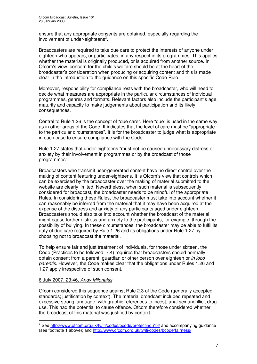ensure that any appropriate consents are obtained, especially regarding the involvement of under-eighteens<sup>3</sup>.

Broadcasters are required to take due care to protect the interests of anyone under eighteen who appears, or participates, in any respect in its programmes. This applies whether the material is originally produced, or is acquired from another source. In Ofcom's view, concern for the child's welfare should be at the heart of the broadcaster's consideration when producing or acquiring content and this is made clear in the introduction to the guidance on this specific Code Rule.

Moreover, responsibility for compliance rests with the broadcaster, who will need to decide what measures are appropriate in the particular circumstances of individual programmes, genres and formats. Relevant factors also include the participant's age, maturity and capacity to make judgements about participation and its likely consequences.

Central to Rule 1.26 is the concept of "due care". Here "due" is used in the same way as in other areas of the Code. It indicates that the level of care must be "appropriate to the particular circumstances". It is for the broadcaster to judge what is appropriate in each case to ensure compliance with the Code.

Rule 1.27 states that under-eighteens "must not be caused unnecessary distress or anxiety by their involvement in programmes or by the broadcast of those programmes".

Broadcasters who transmit user-generated content have no direct control over the making of content featuring under-eighteens. It is Ofcom's view that controls which can be exercised by the broadcaster over the making of material submitted to the website are clearly limited. Nevertheless, when such material is subsequently considered for broadcast, the broadcaster needs to be mindful of the appropriate Rules. In considering these Rules, the broadcaster must take into account whether it can reasonably be inferred from the material that it may have been acquired at the expense of the distress and anxiety of any participants aged under eighteen. Broadcasters should also take into account whether the broadcast of the material might cause further distress and anxiety to the participants, for example, through the possibility of bullying. In these circumstances, the broadcaster may be able to fulfil its duty of due care required by Rule 1.26 and its obligations under Rule 1.27 by choosing not to broadcast the material.

To help ensure fair and just treatment of individuals, for those under sixteen, the Code (Practices to be followed: 7.4) requires that broadcasters should normally obtain consent from a parent, guardian or other person over eighteen or *in loco parentis*. However, the Code makes clear that the obligations under Rules 1.26 and 1.27 apply irrespective of such consent.

#### 6 July 2007, 23:46, *Andy Milonakis*

Ofcom considered this sequence against Rule 2.3 of the Code (generally accepted standards; justification by context). The material broadcast included repeated and excessive strong language, with graphic references to incest, anal sex and illicit drug use. This had the potential to cause offence. Ofcom therefore considered whether the broadcast of this material was justified by context.

<sup>&</sup>lt;sup>3</sup> See <u>http://www.ofcom.org.uk/tv/ifi/codes/bcode/protectingu18/</u> and accompanying guidance (see footnote 1 above); and http://www.ofcom.org.uk/tv/ifi/codes/bcode/fairness/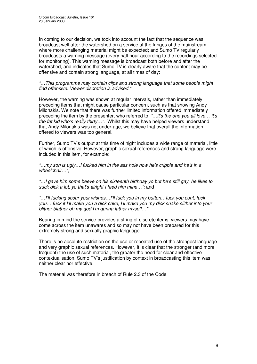In coming to our decision, we took into account the fact that the sequence was broadcast well after the watershed on a service at the fringes of the mainstream, where more challenging material might be expected; and Sumo TV regularly broadcasts a warning message (every half hour according to the recordings selected for monitoring). This warning message is broadcast both before and after the watershed, and indicates that Sumo TV is clearly aware that the content may be offensive and contain strong language, at all times of day:

*"…This programme may contain clips and strong language that some people might find offensive. Viewer discretion is advised."*

However, the warning was shown at regular intervals, rather than immediately preceding items that might cause particular concern, such as that showing Andy Milonakis. We note that there was further limited information offered immediately preceding the item by the presenter, who referred to: *"…it's the one you all love… it's the fat kid who's really thirty…".* Whilst this may have helped viewers understand that Andy Milonakis was not under-age, we believe that overall the information offered to viewers was too general.

Further, Sumo TV's output at this time of night includes a wide range of material, little of which is offensive. However, graphic sexual references and strong language were included in this item, for example:

*"…my son is ugly…I fucked him in the ass hole now he's cripple and he's in a wheelchair…";*

*"…I gave him some beeve on his sixteenth birthday yo but he's still gay, he likes to suck dick a lot, yo that's alright I feed him mine…";* and

*"…I'll fucking scour your wishes…I'll fuck you in my button…fuck you cunt, fuck you… fuck it I'll make you a dick cake, I'll make you my dick snake slither into your blither blather oh my god I'm gunna lather myself…"*

Bearing in mind the service provides a string of discrete items, viewers may have come across the item unawares and so may not have been prepared for this extremely strong and sexually graphic language.

There is no absolute restriction on the use or repeated use of the strongest language and very graphic sexual references. However, it is clear that the stronger (and more frequent) the use of such material, the greater the need for clear and effective contextualisation. Sumo TV's justification by context in broadcasting this item was neither clear nor effective.

The material was therefore in breach of Rule 2.3 of the Code.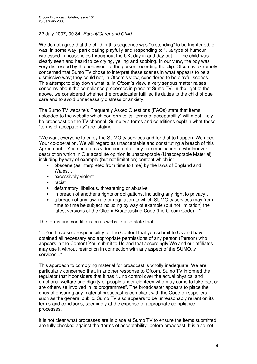#### 22 July 2007, 00:34, *Parent/Carer and Child*

We do not agree that the child in this sequence was "pretending" to be frightened, or was, in some way, participating playfully and responding to "…a type of humour witnessed in households throughout the UK, day in and day out…" The child was clearly seen and heard to be crying, yelling and sobbing. In our view, the boy was very distressed by the behaviour of the person recording the clip. Ofcom is extremely concerned that Sumo TV chose to interpret these scenes in what appears to be a dismissive way; they could not, in Ofcom's view, considered to be playful scenes. This attempt to play down what is, in Ofcom's view, a very serious matter raises concerns about the compliance processes in place at Sumo TV. In the light of the above, we considered whether the broadcaster fulfilled its duties to the child of due care and to avoid unnecessary distress or anxiety.

The Sumo TV website's Frequently Asked Questions (FAQs) state that items uploaded to the website which conform to its "terms of acceptability" will most likely be broadcast on the TV channel. Sumo.tv's terms and conditions explain what these "terms of acceptability" are, stating:

"We want everyone to enjoy the SUMO.tv services and for that to happen. We need Your co-operation. We will regard as unacceptable and constituting a breach of this Agreement if You send to us video content or any communication of whatsoever description which in Our absolute opinion is unacceptable (Unacceptable Material) including by way of example (but not limitation) content which is:

- obscene (as interpreted from time to time) by the laws of England and Wales…
- excessively violent
- racist
- defamatory, libellous, threatening or abusive
- in breach of another's rights or obligations, including any right to privacy...
- a breach of any law, rule or regulation to which SUMO.tv services may from time to time be subject including by way of example (but not limitation) the latest versions of the Ofcom Broadcasting Code (the Ofcom Code)…"

The terms and conditions on its website also state that:

"…You have sole responsibility for the Content that you submit to Us and have obtained all necessary and appropriate permissions of any person (Person) who appears in the Content You submit to Us and that accordingly We and our affiliates may use it without restriction in connection with any aspect of the SUMO.tv services..."

This approach to complying material for broadcast is wholly inadequate. We are particularly concerned that, in another response to Ofcom, Sumo TV informed the regulator that it considers that it has "…no control over the actual physical and emotional welfare and dignity of people under eighteen who may come to take part or are otherwise involved in its programmes". The broadcaster appears to place the onus of ensuring any material broadcast is compliant with the Code on suppliers such as the general public. Sumo TV also appears to be unreasonably reliant on its terms and conditions, seemingly at the expense of appropriate compliance processes.

It is not clear what processes are in place at Sumo TV to ensure the items submitted are fully checked against the "terms of acceptability" before broadcast. It is also not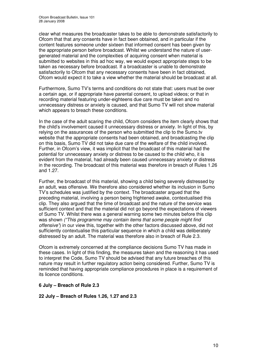clear what measures the broadcaster takes to be able to demonstrate satisfactorily to Ofcom that that *any* consents have in fact been obtained, and in particular if the content features someone under sixteen that informed consent has been given by the appropriate person before broadcast. Whilst we understand the nature of usergenerated material and the complexities of acquiring consent when material is submitted to websites in this ad hoc way, we would expect appropriate steps to be taken as necessary before broadcast. If a broadcaster is unable to demonstrate satisfactorily to Ofcom that any necessary consents have been in fact obtained, Ofcom would expect it to take a view whether the material should be broadcast at all.

Furthermore, Sumo TV's terms and conditions do not state that: users must be over a certain age, or if appropriate have parental consent, to upload videos; or that in recording material featuring under-eighteens due care must be taken and no unnecessary distress or anxiety is caused, and that Sumo TV will not show material which appears to breach these conditions.

In the case of the adult scaring the child, Ofcom considers the item clearly shows that the child's involvement caused it unnecessary distress or anxiety. In light of this, by relying on the assurances of the person who submitted the clip to the Sumo.tv website that the appropriate consents had been obtained, and broadcasting the clip on this basis, Sumo TV did not take due care of the welfare of the child involved. Further, in Ofcom's view, it was implicit that the broadcast of this material had the potential for unnecessary anxiety or distress to be caused to the child who, it is evident from the material, had already been caused unnecessary anxiety or distress in the recording. The broadcast of this material was therefore in breach of Rules 1.26 and 1.27.

Further, the broadcast of this material, showing a child being severely distressed by an adult, was offensive. We therefore also considered whether its inclusion in Sumo TV's schedules was justified by the context. The broadcaster argued that the preceding material, involving a person being frightened awake, contextualised this clip. They also argued that the time of broadcast and the nature of the service was sufficient context and that the material did not go beyond the expectations of viewers of Sumo TV. Whilst there was a general warning some two minutes before this clip was shown *("This programme may contain items that some people might find offensive"*) in our view this, together with the other factors discussed above, did not sufficiently contextualise this particular sequence in which a child was deliberately distressed by an adult. The material was therefore also in breach of Rule 2.3.

Ofcom is extremely concerned at the compliance decisions Sumo TV has made in these cases. In light of this finding, the measures taken and the reasoning it has used to interpret the Code, Sumo TV should be advised that any future breaches of this nature may result in further regulatory action being considered. Further, Sumo TV is reminded that having appropriate compliance procedures in place is a requirement of its licence conditions.

#### **6 July – Breach of Rule 2.3**

#### **22 July – Breach of Rules 1.26, 1.27 and 2.3**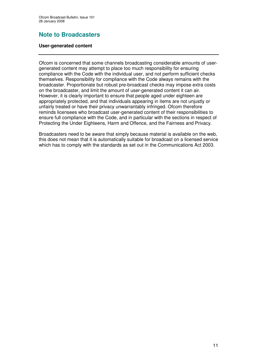# **Note to Broadcasters**

#### **User-generated content**

Ofcom is concerned that some channels broadcasting considerable amounts of usergenerated content may attempt to place too much responsibility for ensuring compliance with the Code with the individual user, and not perform sufficient checks themselves. Responsibility for compliance with the Code always remains with the broadcaster. Proportionate but robust pre-broadcast checks may impose extra costs on the broadcaster, and limit the amount of user-generated content it can air. However, it is clearly important to ensure that people aged under eighteen are appropriately protected, and that individuals appearing in items are not unjustly or unfairly treated or have their privacy unwarrantably infringed. Ofcom therefore reminds licensees who broadcast user-generated content of their responsibilities to ensure full compliance with the Code, and in particular with the sections in respect of Protecting the Under Eighteens, Harm and Offence, and the Fairness and Privacy.

Broadcasters need to be aware that simply because material is available on the web, this does not mean that it is automatically suitable for broadcast on a licensed service which has to comply with the standards as set out in the Communications Act 2003.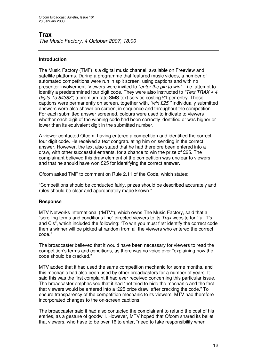# **Trax**

*The Music Factory, 4 October 2007, 18:00*

#### **Introduction**

The Music Factory (TMF) is a digital music channel, available on Freeview and satellite platforms. During a programme that featured music videos, a number of automated competitions were run in split screen, using captions and with no presenter involvement. Viewers were invited to *"enter the pin to win"* – i.e. attempt to identify a predetermined four digit code. They were also instructed to *"Text TRAX + 4 digits To 84383"*, a premium rate SMS text service costing £1 per entry. These captions were permanently on screen, together with, *"win £25."* Individually submitted answers were also shown on screen, in sequence and throughout the competition. For each submitted answer screened, colours were used to indicate to viewers whether each digit of the winning code had been correctly identified or was higher or lower than its equivalent digit in the submitted number.

A viewer contacted Ofcom, having entered a competition and identified the correct four digit code. He received a text congratulating him on sending in the correct answer. However, the text also stated that he had therefore been entered into a draw, with other successful entrants, for a chance to win the prize of £25. The complainant believed this draw element of the competition was unclear to viewers and that he should have won £25 for identifying the correct answer.

Ofcom asked TMF to comment on Rule 2.11 of the Code, which states:

"Competitions should be conducted fairly, prizes should be described accurately and rules should be clear and appropriately made known."

#### **Response**

MTV Networks International ("MTV"), which owns The Music Factory, said that a "scrolling terms and conditions line" directed viewers to its *Trax* website for "full T's and C's", which included the following: "To win you must first identify the correct code then a winner will be picked at random from all the viewers who entered the correct code."

The broadcaster believed that it would have been necessary for viewers to read the competition's terms and conditions, as there was no voice over "explaining how the code should be cracked."

MTV added that it had used the same competition mechanic for some months, and this mechanic had also been used by other broadcasters for a number of years. It said this was the first complaint it had ever received concerning this particular issue. The broadcaster emphasised that it had "not tried to hide the mechanic and the fact that viewers would be entered into a '£25 prize draw' after cracking the code." To ensure transparency of the competition mechanic to its viewers, MTV had therefore incorporated changes to the on-screen captions.

The broadcaster said it had also contacted the complainant to refund the cost of his entries, as a gesture of goodwill. However, MTV hoped that Ofcom shared its belief that viewers, who have to be over 16 to enter, "need to take responsibility when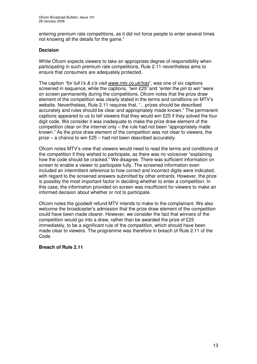entering premium rate competitions, as it did not force people to enter several times not knowing all the details for the game."

#### **Decision**

While Ofcom expects viewers to take an appropriate degree of responsibility when participating in such premium rate competitions, Rule 2.11 nevertheless aims to ensure that consumers are adequately protected.

The caption *"for full t's & c's visit www.mtv.co.uk/trax*", was one of six captions screened in sequence, while the captions, *"win £25"* and *"enter the pin to win"* were on screen permanently during the competitions. Ofcom notes that the prize draw element of the competition was clearly stated in the terms and conditions on MTV's website. Nevertheless, Rule 2.11 requires that, "…prizes should be described accurately and rules should be clear and appropriately made known." The permanent captions appeared to us to tell viewers that they would win £25 if they solved the four digit code. We consider it was inadequate to make the prize draw element of the competition clear on the internet only – the rule had not been "appropriately made known." As the prize draw element of the competition was not clear to viewers, the prize – a chance to win £25 – had not been described accurately.

Ofcom notes MTV's view that viewers would need to read the terms and conditions of the competition if they wished to participate, as there was no voiceover "explaining how the code should be cracked." We disagree. There was sufficient information on screen to enable a viewer to participate fully. The screened information even included an intermittent reference to how correct and incorrect digits were indicated, with regard to the screened answers submitted by other entrants. However, the prize is possibly the most important factor in deciding whether to enter a competition. In this case, the information provided on screen was insufficient for viewers to make an informed decision about whether or not to participate.

Ofcom notes the goodwill refund MTV intends to make to the complainant. We also welcome the broadcaster's admission that the prize draw element of the competition could have been made clearer. However, we consider the fact that winners of the competition would go into a draw, rather than be awarded the prize of £25 immediately, to be a significant rule of the competition, which should have been made clear to viewers. The programme was therefore in breach of Rule 2.11 of the Code.

#### **Breach of Rule 2.11**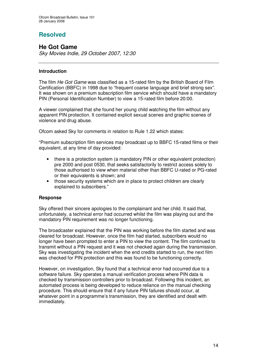# **Resolved**

## **He Got Game**

*Sky Movies Indie, 29 October 2007, 12:30*

#### **Introduction**

The film *He Got Game* was classified as a 15-rated film by the British Board of Film Certification (BBFC) in 1998 due to "frequent coarse language and brief strong sex". It was shown on a premium subscription film service which should have a mandatory PIN (Personal Identification Number) to view a 15-rated film before 20:00.

A viewer complained that she found her young child watching the film without any apparent PIN protection. It contained explicit sexual scenes and graphic scenes of violence and drug abuse.

Ofcom asked Sky for comments in relation to Rule 1.22 which states:

"Premium subscription film services may broadcast up to BBFC 15-rated films or their equivalent, at any time of day provided:

- there is a protection system (a mandatory PIN or other equivalent protection) pre 2000 and post 0530, that seeks satisfactorily to restrict access solely to those authorised to view when material other than BBFC U-rated or PG-rated or their equivalents is shown; and
- those security systems which are in place to protect children are clearly explained to subscribers."

#### **Response**

Sky offered their sincere apologies to the complainant and her child. It said that, unfortunately, a technical error had occurred whilst the film was playing out and the mandatory PIN requirement was no longer functioning.

The broadcaster explained that the PIN was working before the film started and was cleared for broadcast. However, once the film had started, subscribers would no longer have been prompted to enter a PIN to view the content. The film continued to transmit without a PIN request and it was not checked again during the transmission. Sky was investigating the incident when the end credits started to run, the next film was checked for PIN protection and this was found to be functioning correctly.

However, on investigation, Sky found that a technical error had occurred due to a software failure. Sky operates a manual verification process where PIN data is checked by transmission controllers prior to broadcast. Following this incident, an automated process is being developed to reduce reliance on the manual checking procedure. This should ensure that if any future PIN failures should occur, at whatever point in a programme's transmission, they are identified and dealt with immediately.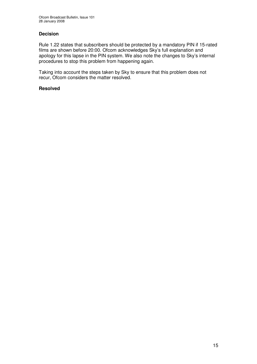#### **Decision**

Rule 1.22 states that subscribers should be protected by a mandatory PIN if 15-rated films are shown before 20:00. Ofcom acknowledges Sky's full explanation and apology for this lapse in the PIN system. We also note the changes to Sky's internal procedures to stop this problem from happening again.

Taking into account the steps taken by Sky to ensure that this problem does not recur, Ofcom considers the matter resolved.

#### **Resolved**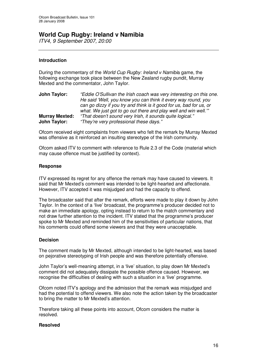## **World Cup Rugby: Ireland v Namibia**

*ITV4, 9 September 2007, 20:00*

#### **Introduction**

During the commentary of the *World Cup Rugby: Ireland v Namibi*a game, the following exchange took place between the New Zealand rugby pundit, Murray Mexted and the commentator, John Taylor.

| John Taylor:          | "Eddie O'Sullivan the Irish coach was very interesting on this one. |
|-----------------------|---------------------------------------------------------------------|
|                       | He said 'Well, you know you can think it every way round, you       |
|                       | can go dizzy if you try and think is it good for us, bad for us, or |
|                       | what. We just got to go out there and play well and win well.""     |
| <b>Murray Mexted:</b> | "That doesn't sound very Irish, it sounds quite logical."           |
| John Taylor:          | "They're very professional these days."                             |

Ofcom received eight complaints from viewers who felt the remark by Murray Mexted was offensive as it reinforced an insulting stereotype of the Irish community.

Ofcom asked ITV to comment with reference to Rule 2.3 of the Code (material which may cause offence must be justified by context).

#### **Response**

ITV expressed its regret for any offence the remark may have caused to viewers. It said that Mr Mexted's comment was intended to be light-hearted and affectionate. However, ITV accepted it was misjudged and had the capacity to offend.

The broadcaster said that after the remark, efforts were made to play it down by John Taylor. In the context of a 'live' broadcast, the programme's producer decided not to make an immediate apology, opting instead to return to the match commentary and not draw further attention to the incident. ITV stated that the programme's producer spoke to Mr Mexted and reminded him of the sensitivities of particular nations, that his comments could offend some viewers and that they were unacceptable.

#### **Decision**

The comment made by Mr Mexted, although intended to be light-hearted, was based on pejorative stereotyping of Irish people and was therefore potentially offensive.

John Taylor's well-meaning attempt, in a 'live' situation, to play down Mr Mexted's comment did not adequately dissipate the possible offence caused. However, we recognise the difficulties of dealing with such a situation in a 'live' programme.

Ofcom noted ITV's apology and the admission that the remark was misjudged and had the potential to offend viewers. We also note the action taken by the broadcaster to bring the matter to Mr Mexted's attention.

Therefore taking all these points into account, Ofcom considers the matter is resolved.

#### **Resolved**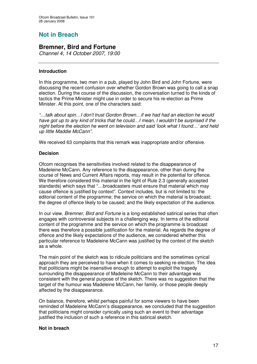# **Not in Breach**

## **Bremner, Bird and Fortune**

*Channel 4, 14 October 2007, 19:00*

#### **Introduction**

In this programme, two men in a pub, played by John Bird and John Fortune, were discussing the recent confusion over whether Gordon Brown was going to call a snap election. During the course of the discussion, the conversation turned to the kinds of tactics the Prime Minister might use in order to secure his re-election as Prime Minister. At this point, one of the characters said:

*"…talk about spin…I don't trust Gordon Brown…if we had had an election he would have got up to any kind of tricks that he could…I mean, I wouldn't be surprised if the night before the election he went on television and said 'look what I found…' and held up little Maddie McCann".*

We received 63 complaints that this remark was inappropriate and/or offensive.

#### **Decision**

Ofcom recognises the sensitivities involved related to the disappearance of Madeleine McCann. Any reference to the disappearance, other than during the course of News and Current Affairs reports, may result in the potential for offence. We therefore considered this material in the light of Rule 2.3 (generally accepted standards) which says that "…broadcasters must ensure that material which may cause offence is justified by context". Context includes, but is not limited to: the editorial content of the programme; the service on which the material is broadcast; the degree of offence likely to be caused; and the likely expectation of the audience.

In our view, *Bremner, Bird and Fortune* is a long-established satirical series that often engages with controversial subjects in a challenging way. In terms of the editorial content of the programme and the service on which the programme is broadcast there was therefore a possible justification for the material. As regards the degree of offence and the likely expectations of the audience, we considered whether this particular reference to Madeleine McCann was justified by the context of the sketch as a whole.

The main point of the sketch was to ridicule politicians and the sometimes cynical approach they are perceived to have when it comes to seeking re-election. The idea that politicians might be insensitive enough to attempt to exploit the tragedy surrounding the disappearance of Madeleine McCann to their advantage was consistent with the general purpose of the sketch. There was no suggestion that the target of the humour was Madeleine McCann, her family, or those people deeply affected by the disappearance.

On balance, therefore, whilst perhaps painful for some viewers to have been reminded of Madeleine McCann's disappearance, we concluded that the suggestion that politicians might consider cynically using such an event to their advantage justified the inclusion of such a reference in this satirical sketch.

#### **Not in breach**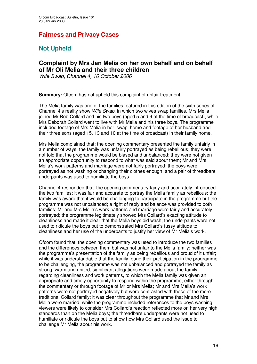# **Fairness and Privacy Cases**

# **Not Upheld**

## **Complaint by Mrs Jan Melia on her own behalf and on behalf of Mr Oli Melia and their three children**

*Wife Swap*, *Channel 4, 16 October 2006*

**Summary:** Ofcom has not upheld this complaint of unfair treatment.

The Melia family was one of the families featured in this edition of the sixth series of Channel 4's reality show *Wife Swap*, in which two wives swap families. Mrs Melia joined Mr Rob Collard and his two boys (aged 5 and 9 at the time of broadcast), while Mrs Deborah Collard went to live with Mr Melia and his three boys. The programme included footage of Mrs Melia in her 'swap' home and footage of her husband and their three sons (aged 15, 13 and 10 at the time of broadcast) in their family home.

Mrs Melia complained that: the opening commentary presented the family unfairly in a number of ways; the family was unfairly portrayed as being rebellious; they were not told that the programme would be biased and unbalanced; they were not given an appropriate opportunity to respond to what was said about them; Mr and Mrs Melia's work patterns and marriage were not fairly portrayed; the boys were portrayed as not washing or changing their clothes enough; and a pair of threadbare underpants was used to humiliate the boys.

Channel 4 responded that: the opening commentary fairly and accurately introduced the two families; it was fair and accurate to portray the Melia family as rebellious; the family was aware that it would be challenging to participate in the programme but the programme was not unbalanced; a right of reply and balance was provided to both families; Mr and Mrs Melia's work patterns and marriage were fairly and accurately portrayed; the programme legitimately showed Mrs Collard's exacting attitude to cleanliness and made it clear that the Melia boys did wash; the underpants were not used to ridicule the boys but to demonstrated Mrs Collard's fussy attitude to cleanliness and her use of the underpants to justify her view of Mr Melia's work.

Ofcom found that: the opening commentary was used to introduce the two families and the differences between them but was not unfair to the Melia family; neither was the programme's presentation of the family as being rebellious and proud of it unfair; while it was understandable that the family found their participation in the programme to be challenging, the programme was not unbalanced and portrayed the family as strong, warm and united; significant allegations were made about the family, regarding cleanliness and work patterns, to which the Melia family was given an appropriate and timely opportunity to respond within the programme, either through the commentary or through footage of Mr or Mrs Melia; Mr and Mrs Melia's work patterns were not portrayed negatively but were contrasted with those of the more traditional Collard family; it was clear throughout the programme that Mr and Mrs Melia were married; while the programme included references to the boys washing, viewers were likely to consider Mrs Collard's reaction reflected more on her very high standards than on the Melia boys; the threadbare underpants were not used to humiliate or ridicule the boys but to show how Mrs Collard used the issue to challenge Mr Melia about his work.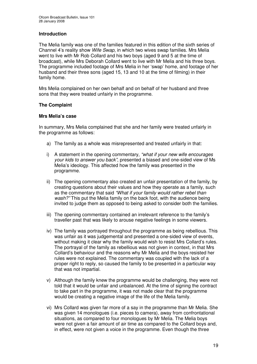#### **Introduction**

The Melia family was one of the families featured in this edition of the sixth series of Channel 4's reality show *Wife Swap*, in which two wives swap families. Mrs Melia went to live with Mr Rob Collard and his two boys (aged 9 and 5 at the time of broadcast), while Mrs Deborah Collard went to live with Mr Melia and his three boys. The programme included footage of Mrs Melia in her 'swap' home, and footage of her husband and their three sons (aged 15, 13 and 10 at the time of filming) in their family home.

Mrs Melia complained on her own behalf and on behalf of her husband and three sons that they were treated unfairly in the programme.

#### **The Complaint**

#### **Mrs Melia's case**

In summary, Mrs Melia complained that she and her family were treated unfairly in the programme as follows:

- a) The family as a whole was misrepresented and treated unfairly in that:
- i) A statement in the opening commentary, *"what if your new wife encourages your kids to answer you back"*, presented a biased and one-sided view of Ms Melia's ideology. This affected how the family was presented in the programme.
- ii) The opening commentary also created an unfair presentation of the family, by creating questions about their values and how they operate as a family, such as the commentary that said *"What if your family would rather rebel than wash?"* This put the Melia family on the back foot, with the audience being invited to judge them as opposed to being asked to consider both the families.
- iii) The opening commentary contained an irrelevant reference to the family's traveller past that was likely to arouse negative feelings in some viewers.
- iv) The family was portrayed throughout the programme as being rebellious. This was unfair as it was judgemental and presented a one-sided view of events, without making it clear why the family would wish to resist Mrs Collard's rules. The portrayal of the family as rebellious was not given in context, in that Mrs Collard's behaviour and the reasons why Mr Melia and the boys resisted her rules were not explained. The commentary was coupled with the lack of a proper right to reply, so caused the family to be presented in a particular way that was not impartial.
- v) Although the family knew the programme would be challenging, they were not told that it would be unfair and unbalanced. At the time of signing the contract to take part in the programme, it was not made clear that the programme would be creating a negative image of the life of the Melia family.
- vi) Mrs Collard was given far more of a say in the programme than Mr Melia. She was given 14 monologues (i.e. pieces to camera), away from confrontational situations, as compared to four monologues by Mr Melia. The Melia boys were not given a fair amount of air time as compared to the Collard boys and, in effect, were not given a voice in the programme. Even though the three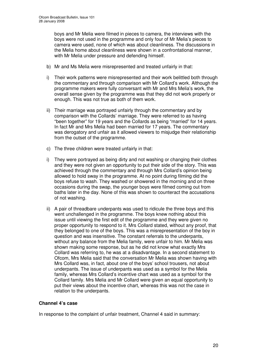boys and Mr Melia were filmed in pieces to camera, the interviews with the boys were not used in the programme and only four of Mr Melia's pieces to camera were used, none of which was about cleanliness. The discussions in the Melia home about cleanliness were shown in a confrontational manner, with Mr Melia under pressure and defending himself.

- b) Mr and Ms Melia were misrepresented and treated unfairly in that:
- i) Their work patterns were misrepresented and their work belittled both through the commentary and through comparison with Mr Collard's work. Although the programme makers were fully conversant with Mr and Mrs Melia's work, the overall sense given by the programme was that they did not work properly or enough. This was not true as both of them work.
- ii) Their marriage was portrayed unfairly through the commentary and by comparison with the Collards' marriage. They were referred to as having "been together" for 19 years and the Collards as being "married" for 14 years. In fact Mr and Mrs Melia had been married for 17 years. The commentary was derogatory and unfair as it allowed viewers to misjudge their relationship from the outset of the programme.
- c) The three children were treated unfairly in that:
- i) They were portrayed as being dirty and not washing or changing their clothes and they were not given an opportunity to put their side of the story. This was achieved through the commentary and through Mrs Collard's opinion being allowed to hold sway in the programme. At no point during filming did the boys refuse to wash. They washed or showered in the morning and on three occasions during the swap, the younger boys were filmed coming out from baths later in the day. None of this was shown to counteract the accusations of not washing.
- ii) A pair of threadbare underpants was used to ridicule the three boys and this went unchallenged in the programme. The boys knew nothing about this issue until viewing the first edit of the programme and they were given no proper opportunity to respond to it. Mrs Collard stated, without any proof, that they belonged to one of the boys. This was a misrepresentation of the boy in question and was insensitive. The constant referrals to the underpants, without any balance from the Melia family, were unfair to him. Mr Melia was shown making some response, but as he did not know what exactly Mrs Collard was referring to, he was at a disadvantage. In a second statement to Ofcom, Mrs Melia said that the conversation Mr Melia was shown having with Mrs Collard was, in fact, about one of the boys' school trousers, not about underpants. The issue of underpants was used as a symbol for the Melia family, whereas Mrs Collard's incentive chart was used as a symbol for the Collard family. Mrs Melia and Mr Collard were given an equal opportunity to put their views about the incentive chart, whereas this was not the case in relation to the underpants.

#### **Channel 4's case**

In response to the complaint of unfair treatment, Channel 4 said in summary: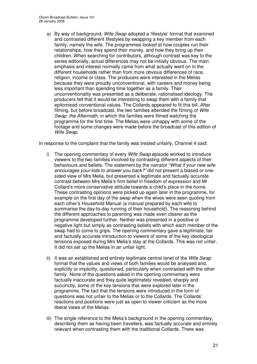a) By way of background, *Wife Swap* adopted a 'lifestyle' format that examined and contrasted different lifestyles by swapping a key member from each family, namely the wife. The programmes looked at how couples run their relationships, how they spend their money, and how they bring up their children. When searching for contributors, although contrast was key to the series editorially, actual differences may not be initially obvious. The main emphasis and interest normally came from what actually went on in the different households rather than from more obvious differences of race, religion, income or class. The producers were interested in the Melias because they were proudly unconventional, with careers and money being less important than spending time together as a family. Their unconventionality was presented as a deliberate, rationalised ideology. The producers felt that it would be interesting to swap them with a family that epitomised conventional values. The Collards appeared to fit this bill. After filming, but before broadcast, the two families attended the filming of *Wife Swap: the Aftermath*, in which the families were filmed watching the programme for the first time. The Melias were unhappy with some of the footage and some changes were made before the broadcast of this edition of *Wife Swap*.

In response to the complaint that the family was treated unfairly, Channel 4 said:

- i) The opening commentary of every *Wife Swap* episode worked to introduce viewers to the two families involved by contrasting different aspects of their behaviours and beliefs. The statement by the narrator *"What if your new wife encourages your kids to answer you back?"* did not present a biased or onesided view of Mrs Melia, but presented a legitimate and factually accurate contrast between Mrs Melia's firm belief in freedom of expression and Mr Collard's more conservative attitude towards a child's place in the home. These contrasting opinions were picked up again later in the programme, for example on the first day of the swap when the wives were seen quoting from each other's Household Manual (a manual prepared by each wife to summarise the day-to-day running of their household). The reasoning behind the different approaches to parenting was made even clearer as the programme developed further. Neither was presented in a positive or negative light but simply as contrasting beliefs with which each member of the swap had to come to grips. The opening commentary gave a legitimate, fair and factually accurate introduction to viewers of some of the key ideological tensions exposed during Mrs Melia's stay at the Collards. This was not unfair. It did not set up the Melias in an unfair light.
- ii) It was an established and entirely legitimate central tenet of the *Wife Swap* format that the values and views of both families would be analysed and, explicitly or implicitly, questioned, particularly when contrasted with the other family. None of the questions asked in the opening commentary were factually inaccurate and they quite legitimately revealed, sharply and succinctly, some of the key tensions that were explored later in the programme. The fact that the tensions were introduced in the form of questions was not unfair to the Melias or to the Collards. The Collards' reactions and positions were just as open to viewer criticism as the more liberal views of the Melias.
- iii) The single reference to the Melia's background in the opening commentary, describing them as having been travellers, was factually accurate and entirely relevant when contrasting them with the traditional Collards. There was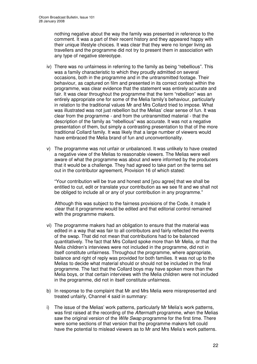nothing negative about the way the family was presented in reference to the comment. It was a part of their recent history and they appeared happy with their unique lifestyle choices. It was clear that they were no longer living as travellers and the programme did not try to present them in association with any type of negative stereotype.

- iv) There was no unfairness in referring to the family as being "rebellious". This was a family characteristic to which they proudly admitted on several occasions, both in the programme and in the untransmitted footage. Their behaviour, as captured on film and presented in its correct context within the programme, was clear evidence that the statement was entirely accurate and fair. It was clear throughout the programme that the term "rebellion" was an entirely appropriate one for some of the Melia family's behaviour, particularly in relation to the traditional values Mr and Mrs Collard tried to impose. What was illustrated was not just rebellion but the Melias' clear sense of fun. It was clear from the programme - and from the untransmitted material - that the description of the family as "rebellious" was accurate. It was not a negative presentation of them, but simply a contrasting presentation to that of the more traditional Collard family. It was likely that a large number of viewers would have embraced the Melia brand of fun and unconventionality.
- v) The programme was not unfair or unbalanced. It was unlikely to have created a negative view of the Melias to reasonable viewers. The Melias were well aware of what the programme was about and were informed by the producers that it would be a challenge. They had agreed to take part on the terms set out in the contributor agreement, Provision 16 of which stated:

"Your contribution will be true and honest and [you agree] that we shall be entitled to cut, edit or translate your contribution as we see fit and we shall not be obliged to include all or any of your contribution in any programme."

Although this was subject to the fairness provisions of the Code, it made it clear that it programme would be edited and that editorial control remained with the programme makers.

- vi) The programme makers had an obligation to ensure that the material was edited in a way that was fair to all contributors and fairly reflected the events of the swap. That did not mean that contributions had to be balanced quantitatively. The fact that Mrs Collard spoke more than Mr Melia, or that the Melia children's interviews were not included in the programme, did not in itself constitute unfairness. Throughout the programme, where appropriate, balance and right of reply was provided for both families. It was not up to the Melias to decide what material should or should not be included in the final programme. The fact that the Collard boys may have spoken more than the Melia boys, or that certain interviews with the Melia children were not included in the programme, did not in itself constitute unfairness.
- b) In response to the complaint that Mr and Mrs Melia were misrepresented and treated unfairly, Channel 4 said in summary:
- i) The issue of the Melias' work patterns, particularly Mr Melia's work patterns, was first raised at the recording of the *Aftermath* programme, when the Melias saw the original version of the *Wife Swap* programme for the first time. There were some sections of that version that the programme makers felt could have the potential to mislead viewers as to Mr and Mrs Melia's work patterns.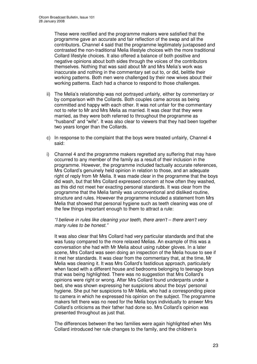These were rectified and the programme makers were satisfied that the programme gave an accurate and fair reflection of the swap and all the contributors. Channel 4 said that the programme legitimately juxtaposed and contrasted the non-traditional Melia lifestyle choices with the more traditional Collard lifestyle choices. It also offered a balance of both positive and negative opinions about both sides through the voices of the contributors themselves. Nothing that was said about Mr and Mrs Melia's work was inaccurate and nothing in the commentary set out to, or did, belittle their working patterns. Both men were challenged by their new wives about their working patterns. Each had a chance to respond to those challenges.

- ii) The Melia's relationship was not portrayed unfairly, either by commentary or by comparison with the Collards. Both couples came across as being committed and happy with each other. It was not unfair for the commentary not to refer to Mr and Mrs Melia as married. It was clear that they were married, as they were both referred to throughout the programme as "husband" and "wife". It was also clear to viewers that they had been together two years longer than the Collards.
- c) In response to the complaint that the boys were treated unfairly, Channel 4 said:
- i) Channel 4 and the programme makers regretted any suffering that may have occurred to any member of the family as a result of their inclusion in the programme. However, the programme included factually accurate references, Mrs Collard's genuinely held opinion in relation to those, and an adequate right of reply from Mr Melia. It was made clear in the programme that the boys did wash, but that Mrs Collard expressed concern at how often they washed, as this did not meet her exacting personal standards. It was clear from the programme that the Melia family was unconventional and disliked routine, structure and rules. However the programme included a statement from Mrs Melia that showed that personal hygiene such as teeth cleaning was one of the few things important enough to them to attract a rule:

*"I believe in rules like cleaning your teeth, there aren't – there aren't very many rules to be honest."*

It was also clear that Mrs Collard had very particular standards and that she was fussy compared to the more relaxed Melias. An example of this was a conversation she had with Mr Melia about using rubber gloves. In a later scene, Mrs Collard was seen doing an inspection of the Melia house to see if it met her standards. It was clear from the commentary that, at the time, Mr Melia was cleaning it. It was Mrs Collard's fastidious approach, particularly when faced with a different house and bedrooms belonging to teenage boys that was being highlighted. There was no suggestion that Mrs Collard's opinions were right or wrong. After Mrs Collard found underpants under a bed, she was shown expressing her suspicions about the boys' personal hygiene. She put her suspicions to Mr Melia, who had a corresponding piece to camera in which he expressed his opinion on the subject. The programme makers felt there was no need for the Melia boys individually to answer Mrs Collard's criticisms as their father had done so. Mrs Collard's opinion was presented throughout as just that.

The differences between the two families were again highlighted when Mrs Collard introduced her rule changes to the family, and the children's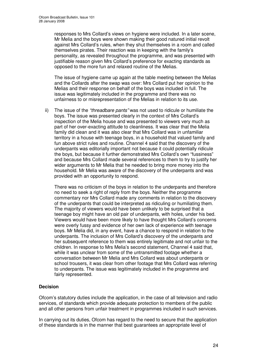responses to Mrs Collard's views on hygiene were included. In a later scene, Mr Melia and the boys were shown making their good natured initial revolt against Mrs Collard's rules, when they shut themselves in a room and called themselves pirates. Their reaction was in keeping with the family's personality, as revealed throughout the programme, and was presented with justifiable reason given Mrs Collard's preference for exacting standards as opposed to the more fun and relaxed routine of the Melias.

The issue of hygiene came up again at the table meeting between the Melias and the Collards after the swap was over: Mrs Collard put her opinion to the Melias and their response on behalf of the boys was included in full. The issue was legitimately included in the programme and there was no unfairness to or misrepresentation of the Melias in relation to its use.

ii) The issue of the *"threadbare pants"* was not used to ridicule or humiliate the boys. The issue was presented clearly in the context of Mrs Collard's inspection of the Melia house and was presented to viewers very much as part of her over-exacting attitude to cleanliness. It was clear that the Melia family did clean and it was also clear that Mrs Collard was in unfamiliar territory in a house with teenage boys, in a household that valued family and fun above strict rules and routine. Channel 4 said that the discovery of the underpants was editorially important not because it could potentially ridicule the boys, but because it further demonstrated Mrs Collard's own "fussiness" and because Mrs Collard made several references to them to try to justify her wider arguments to Mr Melia that he needed to bring more money into the household. Mr Melia was aware of the discovery of the underpants and was provided with an opportunity to respond.

There was no criticism of the boys in relation to the underpants and therefore no need to seek a right of reply from the boys. Neither the programme commentary nor Mrs Collard made any comments in relation to the discovery of the underpants that could be interpreted as ridiculing or humiliating them. The majority of viewers would have been unlikely to be surprised that a teenage boy might have an old pair of underpants, with holes, under his bed. Viewers would have been more likely to have thought Mrs Collard's concerns were overly fussy and evidence of her own lack of experience with teenage boys. Mr Melia did, in any event, have a chance to respond in relation to the underpants. The inclusion of Mrs Collard's discovery of the underpants and her subsequent reference to them was entirely legitimate and not unfair to the children. In response to Mrs Melia's second statement, Channel 4 said that, while it was unclear from some of the untransmitted footage whether a conversation between Mr Melia and Mrs Collard was about underpants or school trousers, it was clear from other footage that Mrs Collard was referring to underpants. The issue was legitimately included in the programme and fairly represented.

#### **Decision**

Ofcom's statutory duties include the application, in the case of all television and radio services, of standards which provide adequate protection to members of the public and all other persons from unfair treatment in programmes included in such services.

In carrying out its duties, Ofcom has regard to the need to secure that the application of these standards is in the manner that best guarantees an appropriate level of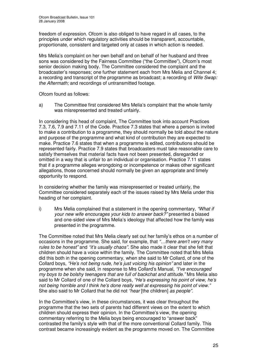freedom of expression. Ofcom is also obliged to have regard in all cases, to the principles under which regulatory activities should be transparent, accountable, proportionate, consistent and targeted only at cases in which action is needed.

Mrs Melia's complaint on her own behalf and on behalf of her husband and three sons was considered by the Fairness Committee ("the Committee"), Ofcom's most senior decision making body. The Committee considered the complaint and the broadcaster's responses; one further statement each from Mrs Melia and Channel 4; a recording and transcript of the programme as broadcast; a recording of *Wife Swap: the Aftermath;* and recordings of untransmitted footage.

Ofcom found as follows:

a) The Committee first considered Mrs Melia's complaint that the whole family was misrepresented and treated unfairly.

In considering this head of complaint, The Committee took into account Practices 7.3, 7.6, 7.9 and 7.11 of the Code. Practice 7.3 states that where a person is invited to make a contribution to a programme, they should normally be told about the nature and purpose of the programme and what kind of contribution they are expected to make. Practice 7.6 states that when a programme is edited, contributions should be represented fairly. Practice 7.9 states that broadcasters must take reasonable care to satisfy themselves that material facts have not been presented, disregarded or omitted in a way that is unfair to an individual or organisation. Practice 7.11 states that if a programme alleges wrongdoing or incompetence or makes other significant allegations, those concerned should normally be given an appropriate and timely opportunity to respond.

In considering whether the family was misrepresented or treated unfairly, the Committee considered separately each of the issues raised by Mrs Melia under this heading of her complaint.

i) Mrs Melia complained that a statement in the opening commentary, *"What if your new wife encourages your kids to answer back?"* presented a biased and one-sided view of Mrs Melia's ideology that affected how the family was presented in the programme.

The Committee noted that Mrs Melia clearly set out her family's ethos on a number of occasions in the programme. She said, for example, that *"…there aren't very many rules to be honest"* and *"it's usually chaos"*. She also made it clear that she felt that children should have a voice within the family. The Committee noted that Mrs Melia did this both in the opening commentary, when she said to Mr Collard, of one of the Collard boys, *"He's not being rude, he's just voicing his opinion"* and later in the programme when she said, in response to Mrs Collard's Manual, *"I've encouraged my boys to be bolshy teenagers that are full of backchat and attitude."* Mrs Melia also said to Mr Collard of one of the Collard boys, *"He's expressing his point of view, he's not being horrible and I think he's done really well at expressing his point of view."* She also said to Mr Collard that he did not *"hear* [the children] *as people"*.

In the Committee's view, in these circumstances, it was clear throughout the programme that the two sets of parents had different views on the extent to which children should express their opinion. In the Committee's view, the opening commentary referring to the Melia boys being encouraged to "answer back" contrasted the family's style with that of the more conventional Collard family. This contrast became increasingly evident as the programme moved on. The Committee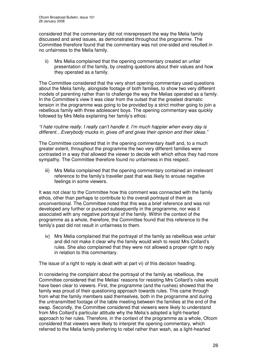considered that the commentary did not misrepresent the way the Melia family discussed and aired issues, as demonstrated throughout the programme. The Committee therefore found that the commentary was not one-sided and resulted in no unfairness to the Melia family.

ii) Mrs Melia complained that the opening commentary created an unfair presentation of the family, by creating questions about their values and how they operated as a family.

The Committee considered that the very short opening commentary used questions about the Melia family, alongside footage of both families, to show two very different models of parenting rather than to challenge the way the Melias operated as a family. In the Committee's view it was clear from the outset that the greatest dramatic tension in the programme was going to be provided by a strict mother going to join a rebellious family with three adolescent boys. The opening commentary was quickly followed by Mrs Melia explaining her family's ethos:

#### *"I hate routine really. I really can't handle it. I'm much happier when every day is different…Everybody mucks in, gives off and gives their opinion and their ideas."*

The Committee considered that in the opening commentary itself and, to a much greater extent, throughout the programme the two very different families were contrasted in a way that allowed the viewer to decide with which ethos they had more sympathy. The Committee therefore found no unfairness in this respect.

iii) Mrs Melia complained that the opening commentary contained an irrelevant reference to the family's traveller past that was likely to arouse negative feelings in some viewers.

It was not clear to the Committee how this comment was connected with the family ethos, other than perhaps to contribute to the overall portrayal of them as unconventional. The Committee noted that this was a brief reference and was not developed any further or pursued subsequently in the programme, nor was it associated with any negative portrayal of the family. Within the context of the programme as a whole, therefore, the Committee found that this reference to the family's past did not result in unfairness to them.

iv) Mrs Melia complained that the portrayal of the family as rebellious was unfair and did not make it clear why the family would wish to resist Mrs Collard's rules. She also complained that they were not allowed a proper right to reply in relation to this commentary.

The issue of a right to reply is dealt with at part vi) of this decision heading.

In considering the complaint about the portrayal of the family as rebellious, the Committee considered that the Melias' reasons for resisting Mrs Collard's rules would have been clear to viewers. First, the programme (and the rushes) showed that the family was proud of their questioning approach towards rules. This came through from what the family members said themselves, both in the programme and during the untransmitted footage of the table meeting between the families at the end of the swap. Secondly, the Committee considered that viewers were likely to understand from Mrs Collard's particular attitude why the Melia's adopted a light-hearted approach to her rules. Therefore, in the context of the programme as a whole, Ofcom considered that viewers were likely to interpret the opening commentary, which referred to the Melia family preferring to rebel rather than wash, as a light-hearted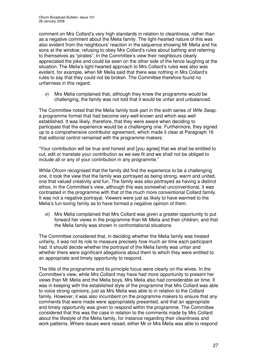comment on Mrs Collard's very high standards in relation to cleanliness, rather than as a negative comment about the Melia family. The light-hearted nature of this was also evident from the neighbours' reaction in the sequence showing Mr Melia and his sons at the window, refusing to obey Mrs Collard's rules about bathing and referring to themselves as "pirates". In the Committee's view their neighbours clearly appreciated the joke and could be seen on the other side of the fence laughing at the situation. The Melia's light-hearted approach to Mrs Collard's rules was also was evident, for example, when Mr Melia said that there was nothing in Mrs Collard's rules to say that they could not be broken. The Committee therefore found no unfairness in this regard.

v) Mrs Melia complained that, although they knew the programme would be challenging, the family was not told that it would be unfair and unbalanced.

The Committee noted that the Melia family took part in the sixth series of *Wife Swap*, a programme format that had become very well-known and which was well established. It was likely, therefore, that they were aware when deciding to participate that the experience would be a challenging one. Furthermore, they signed up to a comprehensive contributor agreement, which made it clear at Paragraph 16 that editorial control remained with the programme makers:

"Your contribution will be true and honest and [you agree] that we shall be entitled to cut, edit or translate your contribution as we see fit and we shall not be obliged to include all or any of your contribution in any programme."

While Ofcom recognised that the family did find the experience to be a challenging one, it took the view that the family was portrayed as being strong, warm and united, one that valued creativity and fun. The family was also portrayed as having a distinct ethos. In the Committee's view, although this was somewhat unconventional, it was contrasted in the programme with that of the much more conventional Collard family. It was not a negative portrayal. Viewers were just as likely to have warmed to the Melia's fun-loving family as to have formed a negative opinion of them.

vi) Mrs Melia complained that Mrs Collard was given a greater opportunity to put forward her views in the programme than Mr Melia and their children, and that the Melia family was shown in confrontational situations.

The Committee considered that, in deciding whether the Melia family was treated unfairly, it was not its role to measure precisely how much air time each participant had. It should decide whether the portrayal of the Melia family was unfair and whether there were significant allegations about them to which they were entitled to an appropriate and timely opportunity to respond.

The title of the programme and its principle focus were clearly on the wives. In the Committee's view, while Mrs Collard may have had more opportunity to present her views than Mr Melia and the Melia boys, Mrs Melia also had considerable air time. It was in keeping with the established style of the programme that Mrs Collard was able to voice strong opinions, just as Mrs Melia was able to in relation to the Collard family. However, it was also incumbent on the programme makers to ensure that any comments that were made were appropriately presented, and that an appropriate and timely opportunity was given to respond within the programme. The Committee considered that this was the case in relation to the comments made by Mrs Collard about the lifestyle of the Melia family, for instance regarding their cleanliness and work patterns. Where issues were raised, either Mr or Mrs Melia was able to respond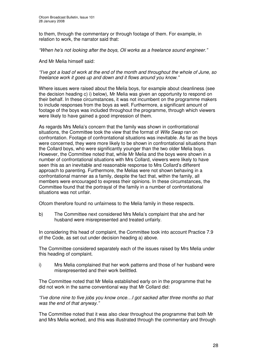to them, through the commentary or through footage of them. For example, in relation to work, the narrator said that:

*"When he's not looking after the boys, Oli works as a freelance sound engineer."*

And Mr Melia himself said:

*"I've got a load of work at the end of the month and throughout the whole of June, so freelance work it goes up and down and it flows around you know."*

Where issues were raised about the Melia boys, for example about cleanliness (see the decision heading c) i) below), Mr Melia was given an opportunity to respond on their behalf. In these circumstances, it was not incumbent on the programme makers to include responses from the boys as well. Furthermore, a significant amount of footage of the boys was included throughout the programme, through which viewers were likely to have gained a good impression of them.

As regards Mrs Melia's concern that the family was shown in confrontational situations, the Committee took the view that the format of *Wife Swap* ran on confrontation. Footage of confrontational situations was inevitable. As far as the boys were concerned, they were more likely to be shown in confrontational situations than the Collard boys, who were significantly younger than the two older Melia boys. However, the Committee noted that, while Mr Melia and the boys were shown in a number of confrontational situations with Mrs Collard, viewers were likely to have seen this as an inevitable and reasonable response to Mrs Collard's different approach to parenting. Furthermore, the Melias were not shown behaving in a confrontational manner as a family, despite the fact that, within the family, all members were encouraged to express their opinions. In these circumstances, the Committee found that the portrayal of the family in a number of confrontational situations was not unfair.

Ofcom therefore found no unfairness to the Melia family in these respects.

b) The Committee next considered Mrs Melia's complaint that she and her husband were misrepresented and treated unfairly.

In considering this head of complaint, the Committee took into account Practice 7.9 of the Code, as set out under decision heading a) above.

The Committee considered separately each of the issues raised by Mrs Melia under this heading of complaint.

i) Mrs Melia complained that her work patterns and those of her husband were misrepresented and their work belittled.

The Committee noted that Mr Melia established early on in the programme that he did not work in the same conventional way that Mr Collard did:

*"I've done nine to five jobs you know once…I got sacked after three months so that was the end of that anyway."*

The Committee noted that it was also clear throughout the programme that both Mr and Mrs Melia worked, and this was illustrated through the commentary and through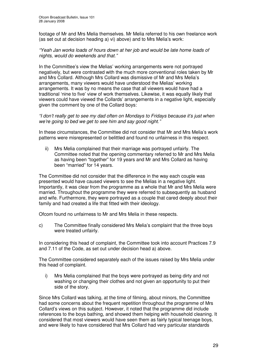footage of Mr and Mrs Melia themselves. Mr Melia referred to his own freelance work (as set out at decision heading a) vi) above) and to Mrs Melia's work:

#### *"Yeah Jan works loads of hours down at her job and would be late home loads of nights, would do weekends and that."*

In the Committee's view the Melias' working arrangements were not portrayed negatively, but were contrasted with the much more conventional roles taken by Mr and Mrs Collard. Although Mrs Collard was dismissive of Mr and Mrs Melia's arrangements, many viewers would have understood the Melias' working arrangements. It was by no means the case that all viewers would have had a traditional 'nine to five' view of work themselves. Likewise, it was equally likely that viewers could have viewed the Collards' arrangements in a negative light, especially given the comment by one of the Collard boys:

#### *"I don't really get to see my dad often on Mondays to Fridays because it's just when we're going to bed we get to see him and say good night."*

In these circumstances, the Committee did not consider that Mr and Mrs Melia's work patterns were misrepresented or belittled and found no unfairness in this respect.

ii) Mrs Melia complained that their marriage was portrayed unfairly. The Committee noted that the opening commentary referred to Mr and Mrs Melia as having been "together" for 19 years and Mr and Mrs Collard as having been "married" for 14 years.

The Committee did not consider that the difference in the way each couple was presented would have caused viewers to see the Melias in a negative light. Importantly, it was clear from the programme as a whole that Mr and Mrs Melia were married. Throughout the programme they were referred to subsequently as husband and wife. Furthermore, they were portrayed as a couple that cared deeply about their family and had created a life that fitted with their ideology.

Ofcom found no unfairness to Mr and Mrs Melia in these respects.

c) The Committee finally considered Mrs Melia's complaint that the three boys were treated unfairly.

In considering this head of complaint, the Committee took into account Practices 7.9 and 7.11 of the Code, as set out under decision head a) above.

The Committee considered separately each of the issues raised by Mrs Melia under this head of complaint.

i) Mrs Melia complained that the boys were portrayed as being dirty and not washing or changing their clothes and not given an opportunity to put their side of the story.

Since Mrs Collard was talking, at the time of filming, about minors, the Committee had some concerns about the frequent repetition throughout the programme of Mrs Collard's views on this subject. However, it noted that the programme did include references to the boys bathing, and showed them helping with household cleaning. It considered that most viewers would have seen them as fairly typical teenage boys, and were likely to have considered that Mrs Collard had very particular standards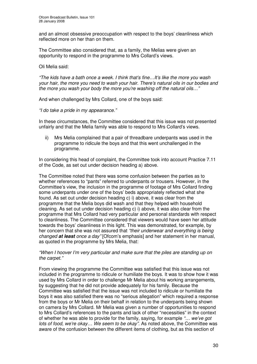and an almost obsessive preoccupation with respect to the boys' cleanliness which reflected more on her than on them.

The Committee also considered that, as a family, the Melias were given an opportunity to respond in the programme to Mrs Collard's views.

Oli Melia said:

*"The kids have a bath once a week. I think that's fine…It's like the more you wash your hair, the more you need to wash your hair. There's natural oils in our bodies and the more you wash your body the more you're washing off the natural oils…"*

And when challenged by Mrs Collard, one of the boys said:

*"I do take a pride in my appearance."*

In these circumstances, the Committee considered that this issue was not presented unfairly and that the Melia family was able to respond to Mrs Collard's views.

ii) Mrs Melia complained that a pair of threadbare underpants was used in the programme to ridicule the boys and that this went unchallenged in the programme.

In considering this head of complaint, the Committee took into account Practice 7.11 of the Code, as set out under decision heading a) above.

The Committee noted that there was some confusion between the parties as to whether references to "pants" referred to underpants or trousers. However, in the Committee's view, the inclusion in the programme of footage of Mrs Collard finding some underpants under one of the boys' beds appropriately reflected what she found. As set out under decision heading c) i) above, it was clear from the programme that the Melia boys did wash and that they helped with household cleaning. As set out under decision heading c) i) above, it was also clear from the programme that Mrs Collard had very particular and personal standards with respect to cleanliness. The Committee considered that viewers would have seen her attitude towards the boys' cleanliness in this light. This was demonstrated, for example, by her concern that she was not assured that *"their underwear and everything is being changed at least once a day"* [Ofcom's emphasis] and her statement in her manual, as quoted in the programme by Mrs Melia, that:

#### *"When I hoover I'm very particular and make sure that the piles are standing up on the carpet."*

From viewing the programme the Committee was satisfied that this issue was not included in the programme to ridicule or humiliate the boys. It was to show how it was used by Mrs Collard in order to challenge Mr Melia about his working arrangements, by suggesting that he did not provide adequately for his family. Because the Committee was satisfied that the issue was not included to ridicule or humiliate the boys it was also satisfied there was no "serious allegation" which required a response from the boys or Mr Melia on their behalf in relation to the underpants being shown on camera by Mrs Collard. Mr Melia was given a number of opportunities to respond to Mrs Collard's references to the pants and lack of other "necessities" in the context of whether he was able to provide for the family, saying, for example *"… we've got lots of food, we're okay… We seem to be okay"*. As noted above, the Committee was aware of the confusion between the different items of clothing, but as this section of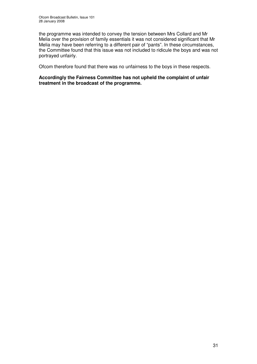the programme was intended to convey the tension between Mrs Collard and Mr Melia over the provision of family essentials it was not considered significant that Mr Melia may have been referring to a different pair of "pants". In these circumstances, the Committee found that this issue was not included to ridicule the boys and was not portrayed unfairly.

Ofcom therefore found that there was no unfairness to the boys in these respects.

**Accordingly the Fairness Committee has not upheld the complaint of unfair treatment in the broadcast of the programme.**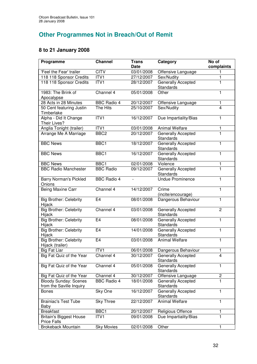# **Other Programmes Not in Breach/Out of Remit**

### **8 to 21 January 2008**

| Programme                                                | <b>Channel</b>     | <b>Trans</b><br><b>Date</b> | Category                               | No of<br>complaints |
|----------------------------------------------------------|--------------------|-----------------------------|----------------------------------------|---------------------|
| 'Feel the Fear' trailer                                  | <b>CITV</b>        | 03/01/2008                  | Offensive Language                     | 1                   |
| 118 118 Sponsor Credits                                  | ITVI               | 27/12/2007                  | Sex/Nudity                             | 1                   |
| 118 118 Sponsor Credits                                  | ITVI               | 28/12/2007                  | Generally Accepted<br><b>Standards</b> | 1                   |
| 1983: The Brink of<br>Apocalypse                         | Channel 4          | 05/01/2008                  | Other                                  | 1                   |
| 28 Acts in 28 Minutes                                    | <b>BBC Radio 4</b> | 20/12/2007                  | Offensive Language                     | 1                   |
| 50 Cent featuring Justin<br>Timberlake                   | The Hits           | 25/10/2007                  | Sex/Nudity                             | $\overline{4}$      |
| Alpha - Did It Change<br>Their Lives?                    | ITVI               | 16/12/2007                  | Due Impartiality/Bias                  | 1                   |
| Anglia Tonight (trailer)                                 | ITV1               | 03/01/2008                  | <b>Animal Welfare</b>                  | 1                   |
| Arrange Me A Marriage                                    | BBC <sub>2</sub>   | 20/12/2007                  | Generally Accepted<br>Standards        | $\mathbf{1}$        |
| <b>BBC News</b>                                          | BBC1               | 18/12/2007                  | Generally Accepted<br>Standards        | 1                   |
| <b>BBC News</b>                                          | BBC1               | 16/12/2007                  | <b>Generally Accepted</b><br>Standards | 1                   |
| <b>BBC News</b>                                          | BBC1               | 02/01/2008                  | Violence                               | 1                   |
| <b>BBC Radio Manchester</b>                              | <b>BBC Radio</b>   | 09/12/2007                  | <b>Generally Accepted</b><br>Standards | $\overline{1}$      |
| <b>Barry Norman's Pickled</b><br>Onions                  | <b>BBC Radio 4</b> |                             | <b>Undue Prominence</b>                | 1                   |
| Being Maxine Carr                                        | Channel 4          | 14/12/2007                  | Crime<br>(incite/encourage)            | 1                   |
| <b>Big Brother: Celebrity</b><br>Hijack                  | E <sub>4</sub>     | 08/01/2008                  | Dangerous Behaviour                    | 1                   |
| <b>Big Brother: Celebrity</b><br>Hijack                  | Channel 4          | 03/01/2008                  | Generally Accepted<br>Standards        | $\overline{c}$      |
| <b>Big Brother: Celebrity</b><br>Hijack                  | E <sub>4</sub>     | 08/01/2008                  | Generally Accepted<br>Standards        | 1                   |
| <b>Big Brother: Celebrity</b><br>Hijack                  | E <sub>4</sub>     | 14/01/2008                  | Generally Accepted<br>Standards        | 1                   |
| <b>Big Brother: Celebrity</b><br>Hijack (trailer)        | E <sub>4</sub>     | 03/01/2008                  | <b>Animal Welfare</b>                  | 1                   |
| <b>Big Fat Liar</b>                                      | ITVI               | 06/01/2008                  | Dangerous Behaviour                    | 1                   |
| Big Fat Quiz of the Year                                 | Channel 4          | 30/12/2007                  | Generally Accepted<br>Standards        | 4                   |
| Big Fat Quiz of the Year                                 | Channel 4          | 05/01/2008                  | Generally Accepted<br>Standards        | 1                   |
| Big Fat Quiz of the Year                                 | Channel 4          | 30/12/2007                  | Offensive Language                     | $\overline{c}$      |
| <b>Bloody Sunday: Scenes</b><br>from the Saville Inquiry | <b>BBC Radio 4</b> | 18/01/2008                  | <b>Generally Accepted</b><br>Standards | 1                   |
| <b>Bones</b>                                             | Sky One            | 16/12/2007                  | Generally Accepted<br>Standards        | 1                   |
| <b>Brainiac's Test Tube</b><br>Baby                      | <b>Sky Three</b>   | 22/12/2007                  | <b>Animal Welfare</b>                  | 1                   |
| <b>Breakfast</b>                                         | BBC1               | 20/12/2007                  | Religious Offence                      | 1                   |
| <b>Britain's Biggest House</b><br><b>Price Falls</b>     | ITV1               | 09/01/2008                  | Due Impartiality/Bias                  | 1                   |
| Brokeback Mountain                                       | <b>Sky Movies</b>  | 02/01/2008                  | Other                                  | 1                   |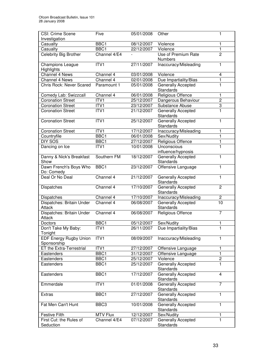| CSI: Crime Scene                             | Five             | 05/01/2008               | Other                                  | 1                 |
|----------------------------------------------|------------------|--------------------------|----------------------------------------|-------------------|
| Investigation                                | BBC1             |                          | Violence                               |                   |
| Casualty<br>Casualty                         | BBC1             | 08/12/2007<br>22/12/2007 | Violence                               | 1<br>$\mathbf{1}$ |
| Celebrity Big Brother                        | Channel 4/E4     |                          | Use of Premium Rate                    | $\overline{2}$    |
|                                              |                  |                          | <b>Numbers</b>                         |                   |
| <b>Champions League</b>                      | ITV1             | 27/11/2007               | Inaccuracy/Misleading                  | 1                 |
| Highlights                                   |                  |                          |                                        |                   |
| <b>Channel 4 News</b>                        | Channel 4        | 03/01/2008               | Violence                               | 4                 |
| Channel 4 News                               | Channel 4        | 02/01/2008               | Due Impartiality/Bias                  | $\mathbf{1}$      |
| Chris Rock: Never Scared                     | Paramount 1      | 05/01/2008               | <b>Generally Accepted</b><br>Standards | 1                 |
| Comedy Lab: Swizzcall                        | Channel 4        | 06/01/2008               | Religious Offence                      | 1                 |
| <b>Coronation Street</b>                     | ITV1             | 25/12/2007               | Dangerous Behaviour                    | $\overline{2}$    |
| <b>Coronation Street</b>                     | ITV1             | 23/12/2007               | Substance Abuse                        | $\overline{3}$    |
| <b>Coronation Street</b>                     | ITV1             | 21/12/2007               | Generally Accepted                     | $\mathbf{1}$      |
|                                              |                  |                          | Standards                              |                   |
| <b>Coronation Street</b>                     | ITVI             | 25/12/2007               | <b>Generally Accepted</b><br>Standards | 1                 |
| <b>Coronation Street</b>                     | ITVI             | 17/12/2007               | Inaccuracy/Misleading                  | 1                 |
| Countryfile                                  | BBC1             | 06/01/2008               | Sex/Nudity                             | $\mathbf{1}$      |
| DIY SOS                                      | BBC1             | 27/12/2007               | Religious Offence                      | $\mathbf{1}$      |
| Dancing on Ice                               | ITV1             | 10/01/2008               | Unconscious                            | 1                 |
|                                              |                  |                          | influence/hypnosis                     |                   |
| Danny & Nick's Breakfast<br>Show             | Southern FM      | 18/12/2007               | Generally Accepted<br>Standards        | 1                 |
| Dawn French's Boys Who                       | BBC1             | 23/12/2007               | Offensive Language                     | 1                 |
| Do: Comedy                                   |                  |                          |                                        |                   |
| Deal Or No Deal                              | Channel 4        | 21/12/2007               | Generally Accepted<br>Standards        | 1                 |
| Dispatches                                   | Channel 4        | 17/10/2007               | <b>Generally Accepted</b><br>Standards | $\overline{2}$    |
| Dispatches                                   | Channel 4        | 17/10/2007               | Inaccuracy/Misleading                  | $\overline{c}$    |
| Dispatches: Britain Under                    | Channel 4        | 06/08/2007               | Generally Accepted                     | 10                |
| Attack                                       |                  |                          | Standards                              |                   |
| Dispatches: Britain Under<br>Attack          | Channel 4        | 06/08/2007               | <b>Religious Offence</b>               | $\overline{7}$    |
| Doctors                                      | BBC1             | 05/12/2007               | Sex/Nudity                             | 1                 |
| Don't Take My Baby:                          | ITV1             | 26/11/2007               | Due Impartiality/Bias                  | 1                 |
| Tonight                                      |                  |                          |                                        |                   |
| <b>EDF Energy Rugby Union</b><br>Sponsorship | ITV1             | 08/09/2007               | Inaccuracy/Misleading                  | 1                 |
| ET the Extra-Terrestrial                     | $\overline{IV1}$ | 27/12/2007               | Offensive Language                     | 1                 |
| Eastenders                                   | BBC1             | 31/12/2007               | Offensive Language                     | $\mathbf{1}$      |
| Eastenders                                   | BBC1             | 25/12/2007               | Violence                               | $\overline{2}$    |
| Eastenders                                   | BBC1             | 25/12/2007               | Generally Accepted<br>Standards        | 1                 |
| Eastenders                                   | BBC1             | 17/12/2007               | Generally Accepted                     | 4                 |
|                                              |                  |                          | Standards                              |                   |
| Emmerdale                                    | ITV1             | 01/01/2008               | <b>Generally Accepted</b><br>Standards | $\overline{7}$    |
| <b>Extras</b>                                | BBC1             | 27/12/2007               | Generally Accepted<br>Standards        | 1                 |
| Fat Men Can't Hunt                           | BBC <sub>3</sub> | 10/01/2008               | <b>Generally Accepted</b>              | 1                 |
|                                              |                  |                          | Standards                              |                   |
| <b>Festive Filth</b>                         | MTV Flux         | 12/12/2007               | Sex/Nudity                             | 1                 |
| First Cut: the Rules of<br>Seduction         | Channel 4/E4     | 07/12/2007               | Generally Accepted<br>Standards        | 1                 |
|                                              |                  |                          |                                        |                   |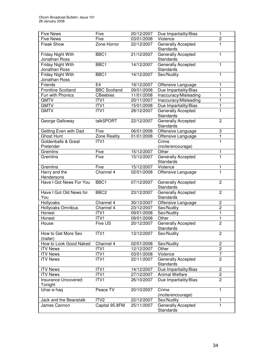| <b>Five News</b>                          | Five                | 20/12/2007 | Due Impartiality/Bias                  | 1              |
|-------------------------------------------|---------------------|------------|----------------------------------------|----------------|
| <b>Five News</b>                          | Five                | 03/01/2008 | Violence                               | $\overline{2}$ |
| Freak Show                                | Zone Horror         | 22/12/2007 | <b>Generally Accepted</b><br>Standards | 1              |
| Friday Night With<br>Jonathan Ross        | BBC1                | 21/12/2007 | <b>Generally Accepted</b><br>Standards | 1              |
| Friday Night With<br>Jonathan Ross        | BBC1                | 14/12/2007 | Generally Accepted<br>Standards        | 1              |
| <b>Friday Night With</b><br>Jonathan Ross | BBC1                | 14/12/2007 | Sex/Nudity                             | 1              |
| Friends                                   | E <sub>4</sub>      | 19/12/2007 | Offensive Language                     |                |
| <b>Frontline Scotland</b>                 | <b>BBC Scotland</b> | 09/01/2008 | Due Impartiality/Bias                  | 1              |
| Fun with Phonics                          | <b>CBeebies</b>     | 11/01/2008 | Inaccuracy/Misleading                  |                |
| <b>GMTV</b>                               | ITV1                | 20/11/2007 | Inaccuracy/Misleading                  | 1              |
| <b>GMTV</b>                               | ITV1                | 15/01/2008 | Due Impartiality/Bias                  | 1              |
| <b>GMTV</b>                               | ITV1                | 28/12/2007 | <b>Generally Accepted</b><br>Standards | 1              |
| George Galloway                           | talkSPORT           | 22/12/2007 | Generally Accepted<br>Standards        | $\overline{2}$ |
| Getting Even with Dad                     | Five                | 06/01/2008 | Offensive Language                     | 3              |
| <b>Ghost Hunt</b>                         | Zone Reality        | 01/01/2008 | Offensive Language                     | 1              |
| Goldenballs & Great                       | ITV1                |            | Crime                                  | 1              |
| Pretender                                 |                     |            | (incite/encourage)                     |                |
| Gremlins                                  | Five                | 15/12/2007 | Other                                  | 1              |
| Gremlins                                  | Five                | 15/12/2007 | <b>Generally Accepted</b><br>Standards | 1              |
| Gremlins                                  | Five                | 15/12/2007 | Violence                               | 1              |
| Harry and the<br>Hendersons               | Channel 4           | 02/01/2008 | Offensive Language                     | $\overline{1}$ |
| Have I Got News For You                   | BBC1                | 07/12/2007 | Generally Accepted<br>Standards        | $\overline{2}$ |
| Have I Got Old News for<br>You            | BBC <sub>2</sub>    | 23/12/2007 | Generally Accepted<br>Standards        | $\overline{c}$ |
| Hollyoaks                                 | Channel 4           | 30/12/2007 | Offensive Language                     | $\overline{c}$ |
| Hollyoaks Omnibus                         | Channel 4           | 23/12/2007 | Sex/Nudity                             | $\overline{2}$ |
| Honest                                    | ITV1                | 09/01/2008 | Sex/Nudity                             | $\mathbf{1}$   |
| Honest                                    | ITV1                | 09/01/2008 | Other                                  | 1              |
| House                                     | Five US             | 20/12/2007 | <b>Generally Accepted</b><br>Standards | $\overline{2}$ |
| How to Get More Sex<br>(trailer)          | $\overline{IV}1$    | 13/12/2007 | Sex/Nudity                             | $\overline{c}$ |
| How to Look Good Naked                    | Channel 4           | 02/01/2008 | Sex/Nudity                             | $\overline{c}$ |
| <b>ITV News</b>                           | ITV1                | 12/12/2007 | Other                                  | $\overline{2}$ |
| <b>ITV News</b>                           | ITV1                | 03/01/2008 | Violence                               | $\overline{7}$ |
| <b>ITV News</b>                           | $\overline{IV1}$    | 22/11/2007 | Generally Accepted<br>Standards        | $\overline{2}$ |
| <b>ITV News</b>                           | ITV1                | 14/12/2007 | Due Impartiality/Bias                  | $\overline{c}$ |
| <b>ITV News</b>                           | ITV1                | 27/12/2007 | Animal Welfare                         | $\overline{2}$ |
| Insurance Uncovered:<br>Tonight           | ITV1                | 26/10/2007 | Due Impartiality/Bias                  | $\overline{2}$ |
| Izhar-e-haq                               | Peace TV            | 20/10/2007 | Crime<br>(incite/encourage)            | 1              |
| Jack and the Beanstalk                    | ITV <sub>2</sub>    | 22/12/2007 | Sex/Nudity                             | 1              |
| James Cannon                              | Capital 95.8FM      | 25/11/2007 | <b>Generally Accepted</b><br>Standards | 1              |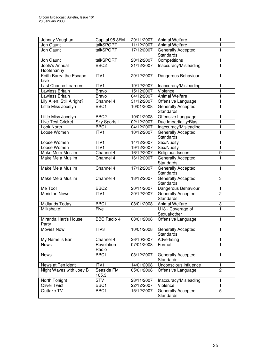| Johnny Vaughan             | Capital 95.8FM           | 29/11/2007               | <b>Animal Welfare</b>                  | 1                              |
|----------------------------|--------------------------|--------------------------|----------------------------------------|--------------------------------|
| Jon Gaunt                  | talkSPORT                | 11/12/2007               | Animal Welfare                         | 1                              |
| Jon Gaunt                  | talkSPORT                | 17/12/2007               | Generally Accepted                     | 1                              |
|                            |                          |                          | <b>Standards</b>                       |                                |
| Jon Gaunt                  | talkSPORT                | 20/12/2007               | Competitions                           | 1                              |
| Jools's Annual             | BBC <sub>2</sub>         | 31/12/2007               | Inaccuracy/Misleading                  | 1                              |
| Hootenanny                 |                          |                          |                                        |                                |
| Keith Barry: the Escape -  | ITVI                     | 29/12/2007               | Dangerous Behaviour                    | 1                              |
| Live                       |                          |                          |                                        |                                |
| Last Chance Learners       | ITV1                     | 19/12/2007               | Inaccuracy/Misleading                  | 1                              |
| Lawless Britain            | <b>Bravo</b>             | 15/12/2007               | Violence                               | 1                              |
| Lawless Britain            | <b>Bravo</b>             | 04/12/2007               | <b>Animal Welfare</b>                  | 1                              |
| Lily Allen: Still Alright? | Channel 4                | 31/12/2007               | Offensive Language                     | $\mathbf{1}$                   |
| Little Miss Jocelyn        | BBC1                     | 10/01/2008               | Generally Accepted                     | 1                              |
|                            |                          |                          | <b>Standards</b>                       |                                |
| Little Miss Jocelyn        | BBC <sub>2</sub>         | 10/01/2008               | Offensive Language                     | 1                              |
| Live Test Cricket          | Sky Sports 1             | 02/12/2007               | Due Impartiality/Bias                  | $\mathbf{1}$                   |
| Look North                 | BBC1                     | 04/12/2007               | Inaccuracy/Misleading                  | 1                              |
| Loose Women                | ITV1                     | 10/12/2007               | Generally Accepted                     | 1                              |
|                            |                          |                          | <b>Standards</b>                       |                                |
| Loose Women                | ITVI                     | 14/12/2007               | Sex/Nudity                             | 1                              |
| Loose Women                | ITVI                     | 19/12/2007               | Sex/Nudity                             | $\overline{1}$                 |
| Make Me a Muslim           | Channel 4                | 16/12/2007               | Religious Issues                       | $\overline{9}$                 |
| Make Me a Muslim           | Channel 4                | 16/12/2007               | <b>Generally Accepted</b>              | $\overline{1}$                 |
|                            |                          |                          | <b>Standards</b>                       |                                |
| Make Me a Muslim           | Channel 4                | 17/12/2007               | <b>Generally Accepted</b>              | 1                              |
|                            |                          |                          | <b>Standards</b>                       |                                |
| Make Me a Muslim           | Channel 4                | 18/12/2007               | Generally Accepted                     | 3                              |
| Me Too!                    |                          |                          | <b>Standards</b>                       |                                |
| <b>Meridian News</b>       | BBC <sub>2</sub><br>ITV1 | 20/11/2007<br>20/12/2007 | Dangerous Behaviour                    | $\mathbf{1}$<br>$\overline{2}$ |
|                            |                          |                          | Generally Accepted<br><b>Standards</b> |                                |
| Midlands Today             | BBC1                     | 08/01/2008               | Animal Welfare                         | 3                              |
| Milkshake!                 | Five                     |                          | U18 - Coverage of                      | $\overline{1}$                 |
|                            |                          |                          | Sexual/other                           |                                |
| Miranda Hart's House       | <b>BBC Radio 4</b>       | 08/01/2008               | Offensive Language                     | 1                              |
| Party                      |                          |                          |                                        |                                |
| <b>Movies Now</b>          | ITV3                     | 10/01/2008               | Generally Accepted                     | 1.                             |
|                            |                          |                          | Standards                              |                                |
| My Name is Earl            | Channel 4                | 26/10/2007               | Advertising                            | 1                              |
| <b>News</b>                | Revelation               | 07/01/2008               | Format                                 | 1                              |
|                            | Radio                    |                          |                                        |                                |
| <b>News</b>                | BBC1                     | 03/12/2007               | <b>Generally Accepted</b>              | 1                              |
|                            |                          |                          | <b>Standards</b>                       |                                |
| News at Ten ident          | ITV1                     | 14/01/2008               | Unconscious influence                  | 1                              |
| Night Waves with Joey B    | Seaside FM               | 05/01/2008               | Offensive Language                     | $\overline{2}$                 |
|                            | 105.3                    |                          |                                        |                                |
| North Tonight              | <b>STV</b>               | 28/11/2007               | Inaccuracy/Misleading                  | 1                              |
| <b>Oliver Twist</b>        | BBC1                     | 22/12/2007               | Violence                               | $\mathbf{1}$                   |
| Outtake TV                 | BBC1                     | 15/12/2007               | Generally Accepted                     | $\overline{5}$                 |
|                            |                          |                          | Standards                              |                                |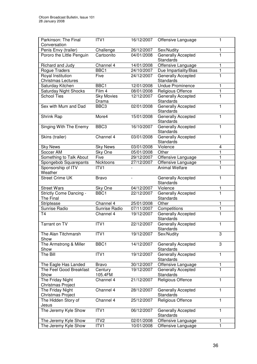| Parkinson: The Final                         | ITV1              | 16/12/2007 | Offensive Language                       | 1            |
|----------------------------------------------|-------------------|------------|------------------------------------------|--------------|
| Conversation                                 |                   |            |                                          |              |
| Penis Envy (trailer)                         | Challenge         | 26/12/2007 | Sex/Nudity                               | 1            |
| Pororo the Little Penguin                    | Cartoonito        | 04/01/2008 | Generally Accepted<br>Standards          | 1            |
| Richard and Judy                             | Channel 4         | 14/01/2008 | Offensive Language                       | 1            |
| Rogue Traders                                | BBC1              | 24/10/2007 | Due Impartiality/Bias                    | 1            |
| Royal Institution                            | Five              | 24/12/2007 | Generally Accepted                       | 1            |
| <b>Christmas Lectures</b>                    |                   |            | <b>Standards</b>                         |              |
| Saturday Kitchen                             | BBC1              | 12/01/2008 | <b>Undue Prominence</b>                  | 1            |
| <b>Saturday Night Shocks</b>                 | Film 4            | 08/01/2008 | Religious Offence                        | 1            |
| <b>School Ties</b>                           | <b>Sky Movies</b> | 12/12/2007 | Generally Accepted                       | 1            |
|                                              | Drama             |            | <b>Standards</b>                         |              |
| Sex with Mum and Dad                         | BBC <sub>3</sub>  | 02/01/2008 | Generally Accepted                       | 1            |
|                                              |                   |            | <b>Standards</b>                         |              |
| Shrink Rap                                   | More4             | 15/01/2008 | Generally Accepted                       | 1            |
|                                              |                   |            | <b>Standards</b>                         |              |
| Singing With The Enemy                       | BBC <sub>3</sub>  | 16/10/2007 | Generally Accepted                       | 1            |
|                                              |                   |            | <b>Standards</b>                         |              |
| Skins (trailer)                              | Channel 4         | 03/01/2008 | Generally Accepted                       | 1            |
|                                              |                   |            | <b>Standards</b>                         |              |
| <b>Sky News</b>                              | <b>Sky News</b>   | 03/01/2008 | Violence                                 | 4            |
| Soccer AM                                    | Sky One           | 05/01/2008 | Other                                    | 1            |
| Something to Talk About                      | Five              | 29/12/2007 | Offensive Language                       | 1            |
| Spongebob Squarepants                        | Nicktoons         | 27/12/2007 | Offensive Language                       | $\mathbf{1}$ |
| Sponsorship of ITV                           | ITV1              |            | <b>Animal Welfare</b>                    | 1            |
| Weather                                      |                   |            |                                          |              |
| <b>Street Crime UK</b>                       | <b>Bravo</b>      |            | Generally Accepted                       | 1            |
|                                              |                   |            | <b>Standards</b>                         |              |
| <b>Street Wars</b>                           | Sky One           | 04/12/2007 | Violence                                 | 1            |
| <b>Strictly Come Dancing -</b>               | BBC1              | 22/12/2007 | Generally Accepted                       | $\mathbf{1}$ |
| The Final                                    |                   |            | Standards                                |              |
| Striptease                                   | Channel 4         | 25/01/2008 | $\overline{Other}$                       | 1            |
| Sunrise Radio                                | Sunrise Radio     | 07/11/2007 | Competitions                             | 1            |
| <b>T4</b>                                    | Channel 4         | 19/12/2007 | Generally Accepted                       | 1            |
|                                              |                   |            | Standards                                |              |
| <b>Tarrant on TV</b>                         | ITV1              | 22/12/2007 | Generally Accepted                       | 1            |
|                                              |                   |            | <b>Standards</b>                         |              |
| The Alan Titchmarsh                          | ITV1              | 19/12/2007 | Sex/Nudity                               | 3            |
| Show                                         |                   |            |                                          |              |
| The Armstrong & Miller                       | BBC1              | 14/12/2007 | <b>Generally Accepted</b>                | 3            |
| Show                                         |                   |            | <b>Standards</b>                         |              |
| The Bill                                     | ITV1              | 19/12/2007 | Generally Accepted                       | $\mathbf{1}$ |
|                                              |                   |            | <b>Standards</b>                         |              |
| The Eagle Has Landed                         | <b>Bravo</b>      | 30/12/2007 | Offensive Language                       | 1            |
| The Feel Good Breakfast                      | Century           | 19/12/2007 | <b>Generally Accepted</b>                | 1            |
| Show                                         | 105.4FM           |            | <b>Standards</b>                         |              |
| The Friday Night                             | Channel 4         | 21/12/2007 | Religious Offence                        | 1            |
| Christmas Project                            |                   |            |                                          |              |
| The Friday Night                             | Channel 4         | 28/12/2007 | <b>Generally Accepted</b>                | 1            |
| Christmas Project                            |                   |            | Standards                                |              |
| The Hidden Story of                          | Channel 4         | 25/12/2007 | Religious Offence                        | 1            |
| Jesus                                        |                   |            |                                          |              |
| The Jeremy Kyle Show                         | ITVI              | 06/12/2007 | Generally Accepted                       | 1            |
|                                              |                   |            | Standards                                |              |
|                                              | ITV <sub>2</sub>  | 02/01/2008 |                                          |              |
| The Jeremy Kyle Show<br>The Jeremy Kyle Show | ITV1              | 10/01/2008 | Offensive Language<br>Offensive Language | 1<br>1       |
|                                              |                   |            |                                          |              |